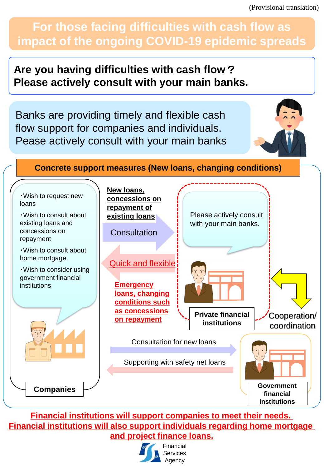(Provisional translation)

# **For those facing difficulties with cash flow as impact of the ongoing COVID-19 epidemic spreads**

## **Are you having difficulties with cash flow**? **Please actively consult with your main banks.**

Banks are providing timely and flexible cash flow support for companies and individuals. Pease actively consult with your main banks



## **Concrete support measures (New loans, changing conditions)**



## **Financial institutions will support companies to meet their needs. Financial institutions will also support individuals regarding home mortgage and project finance loans.**



Financial **Services** Agency